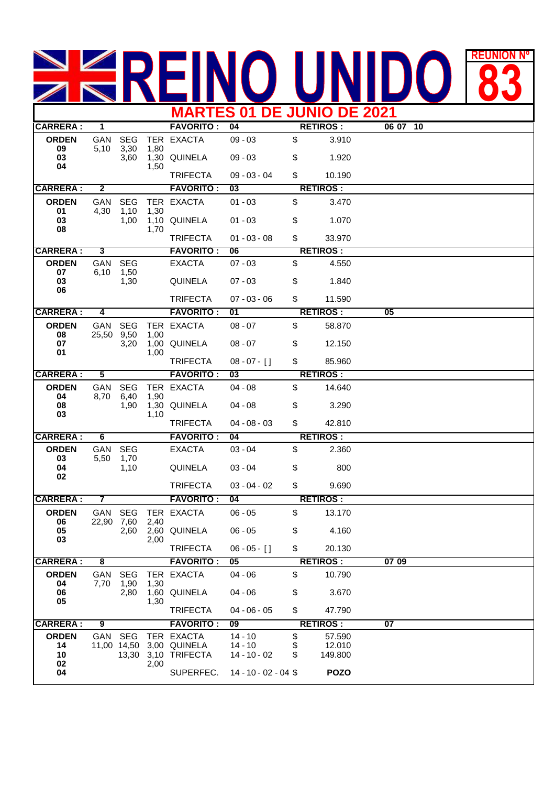## REUNION **83 MARTES 01 DE JUNIO DE 2021**

| <b>CARRERA:</b>          | 1                       |                           |              | <b>FAVORITO:</b>                                  | 04                                       |                | <b>RETIROS:</b>             | 06 07<br>10 |  |
|--------------------------|-------------------------|---------------------------|--------------|---------------------------------------------------|------------------------------------------|----------------|-----------------------------|-------------|--|
| <b>ORDEN</b><br>09       | GAN<br>5,10             | <b>SEG</b><br>3,30        | 1,80         | TER EXACTA                                        | $09 - 03$                                | \$             | 3.910                       |             |  |
| 03<br>04                 |                         | 3,60                      |              | 1,30 QUINELA                                      | $09 - 03$                                | \$             | 1.920                       |             |  |
|                          |                         |                           | 1,50         | <b>TRIFECTA</b>                                   | $09 - 03 - 04$                           | \$             | 10.190                      |             |  |
| <b>CARRERA:</b>          | $\overline{2}$          |                           |              | <b>FAVORITO:</b>                                  | 03                                       |                | <b>RETIROS:</b>             |             |  |
| <b>ORDEN</b>             | GAN                     | <b>SEG</b>                |              | TER EXACTA                                        | $01 - 03$                                | \$             | 3.470                       |             |  |
| 01<br>03<br>08           | 4,30                    | 1,10<br>1,00              | 1,30         | 1,10 QUINELA                                      | $01 - 03$                                | \$             | 1.070                       |             |  |
|                          |                         |                           | 1,70         | <b>TRIFECTA</b>                                   | $01 - 03 - 08$                           | \$             | 33.970                      |             |  |
| <b>CARRERA:</b>          | 3                       |                           |              | <b>FAVORITO:</b>                                  | 06                                       |                | <b>RETIROS:</b>             |             |  |
| <b>ORDEN</b>             | GAN                     | <b>SEG</b>                |              | <b>EXACTA</b>                                     | $07 - 03$                                | \$             | 4.550                       |             |  |
| 07<br>03<br>06           | 6,10                    | 1,50<br>1,30              |              | <b>QUINELA</b>                                    | $07 - 03$                                | \$             | 1.840                       |             |  |
|                          |                         |                           |              | <b>TRIFECTA</b>                                   | $07 - 03 - 06$                           | $\mathfrak s$  | 11.590                      |             |  |
| <b>CARRERA:</b>          | 4                       |                           |              | <b>FAVORITO:</b>                                  | 01                                       |                | <b>RETIROS:</b>             | 05          |  |
| <b>ORDEN</b>             | GAN                     | <b>SEG</b>                |              | TER EXACTA                                        | $08 - 07$                                | \$             | 58.870                      |             |  |
| 08<br>07                 | 25,50 9,50              | 3,20                      | 1,00         | 1,00 QUINELA                                      | $08 - 07$                                | \$             | 12.150                      |             |  |
| 01                       |                         |                           | 1,00         | <b>TRIFECTA</b>                                   | $08 - 07 - 1$                            | \$             | 85.960                      |             |  |
| <b>CARRERA:</b>          | $\overline{\mathbf{5}}$ |                           |              | <b>FAVORITO:</b>                                  | 03                                       |                | <b>RETIROS:</b>             |             |  |
| <b>ORDEN</b>             | GAN                     | <b>SEG</b>                |              | TER EXACTA                                        | $04 - 08$                                | \$             | 14.640                      |             |  |
| 04<br>08<br>03           | 8,70                    | 6,40<br>1,90              | 1,90<br>1,10 | 1,30 QUINELA                                      | $04 - 08$                                | \$             | 3.290                       |             |  |
|                          |                         |                           |              | <b>TRIFECTA</b>                                   | $04 - 08 - 03$                           | $\mathfrak s$  | 42.810                      |             |  |
| <b>CARRERA:</b>          | 6                       |                           |              | <b>FAVORITO:</b>                                  | 04                                       |                | <b>RETIROS:</b>             |             |  |
| <b>ORDEN</b>             | GAN                     | <b>SEG</b>                |              | <b>EXACTA</b>                                     | $03 - 04$                                | \$             | 2.360                       |             |  |
| 03<br>04<br>02           | 5,50                    | 1,70<br>1,10              |              | <b>QUINELA</b>                                    | $03 - 04$                                | \$             | 800                         |             |  |
|                          |                         |                           |              | <b>TRIFECTA</b>                                   | $03 - 04 - 02$                           | \$             | 9.690                       |             |  |
| <b>CARRERA:</b>          | 7                       |                           |              | <b>FAVORITO:</b>                                  | 04                                       |                | <b>RETIROS:</b>             |             |  |
| <b>ORDEN</b><br>06       | GAN<br>22,90            | <b>SEG</b>                |              | TER EXACTA                                        | $06 - 05$                                | \$             | 13.170                      |             |  |
| 05<br>03                 |                         | 7,60<br>2,60              | 2,40<br>2,00 | 2,60 QUINELA                                      | $06 - 05$                                | \$             | 4.160                       |             |  |
|                          |                         |                           |              | <b>TRIFECTA</b>                                   | $06 - 05 - 1$                            | \$             | 20.130                      |             |  |
| <b>CARRERA:</b>          | $\overline{\mathbf{8}}$ |                           |              | <b>FAVORITO:</b>                                  | 05                                       |                | <b>RETIROS:</b>             | 07 09       |  |
| <b>ORDEN</b>             | GAN                     | <b>SEG</b>                |              | TER EXACTA                                        | $04 - 06$                                | \$             | 10.790                      |             |  |
| 04<br>06<br>05           | 7,70                    | 1,90<br>2,80              | 1,30<br>1,30 | 1,60 QUINELA                                      | $04 - 06$                                | \$             | 3.670                       |             |  |
|                          |                         |                           |              | <b>TRIFECTA</b>                                   | $04 - 06 - 05$                           | \$             | 47.790                      |             |  |
| <b>CARRERA:</b>          | 9                       |                           |              | <b>FAVORITO:</b>                                  | 09                                       |                | <b>RETIROS:</b>             | 07          |  |
| <b>ORDEN</b><br>14<br>10 | GAN                     | <b>SEG</b><br>11,00 14,50 |              | TER EXACTA<br>3,00 QUINELA<br>13,30 3,10 TRIFECTA | $14 - 10$<br>$14 - 10$<br>$14 - 10 - 02$ | \$<br>\$<br>\$ | 57.590<br>12.010<br>149.800 |             |  |
| 02<br>04                 |                         |                           | 2,00         | SUPERFEC.                                         | 14 - 10 - 02 - 04 \$                     |                | <b>POZO</b>                 |             |  |